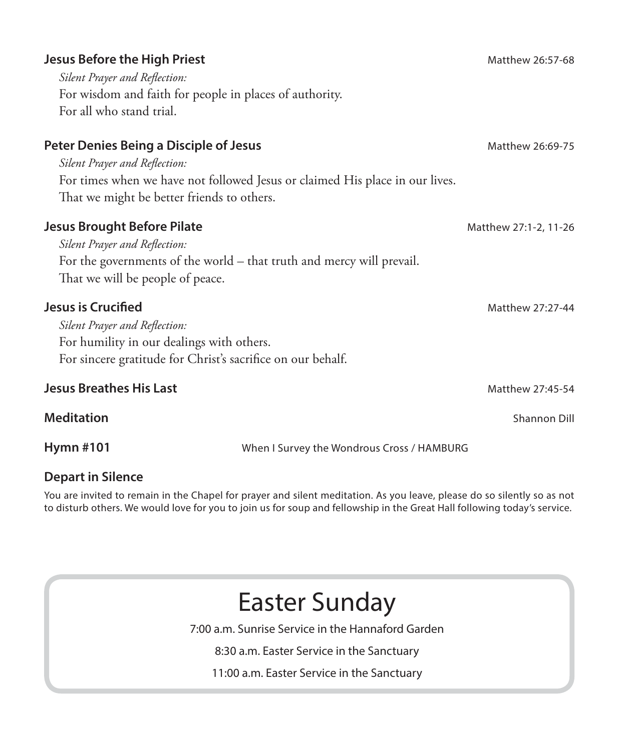| <b>Jesus Before the High Priest</b><br>Silent Prayer and Reflection:<br>For wisdom and faith for people in places of authority.<br>For all who stand trial.            |                                                                              | Matthew 26:57-68      |
|------------------------------------------------------------------------------------------------------------------------------------------------------------------------|------------------------------------------------------------------------------|-----------------------|
| Peter Denies Being a Disciple of Jesus<br>Silent Prayer and Reflection:<br>That we might be better friends to others.                                                  | For times when we have not followed Jesus or claimed His place in our lives. | Matthew 26:69-75      |
| <b>Jesus Brought Before Pilate</b><br>Silent Prayer and Reflection:<br>That we will be people of peace.                                                                | For the governments of the world – that truth and mercy will prevail.        | Matthew 27:1-2, 11-26 |
| <b>Jesus is Crucified</b><br>Silent Prayer and Reflection:<br>For humility in our dealings with others.<br>For sincere gratitude for Christ's sacrifice on our behalf. |                                                                              | Matthew 27:27-44      |
| <b>Jesus Breathes His Last</b>                                                                                                                                         |                                                                              | Matthew 27:45-54      |
| <b>Meditation</b>                                                                                                                                                      |                                                                              | Shannon Dill          |
| Hymn #101                                                                                                                                                              | When I Survey the Wondrous Cross / HAMBURG                                   |                       |

### **Depart in Silence**

You are invited to remain in the Chapel for prayer and silent meditation. As you leave, please do so silently so as not to disturb others. We would love for you to join us for soup and fellowship in the Great Hall following today's service.

## Easter Sunday

7:00 a.m. Sunrise Service in the Hannaford Garden

8:30 a.m. Easter Service in the Sanctuary

11:00 a.m. Easter Service in the Sanctuary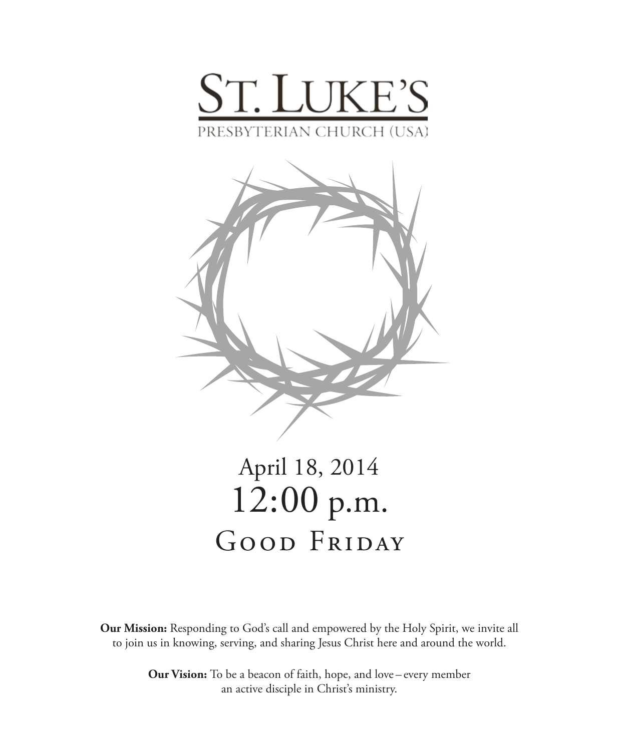



# April 18, 2014 12:00 p.m. GOOD FRIDAY

**Our Mission:** Responding to God's call and empowered by the Holy Spirit, we invite all to join us in knowing, serving, and sharing Jesus Christ here and around the world.

> **Our Vision:** To be a beacon of faith, hope, and love – every member an active disciple in Christ's ministry.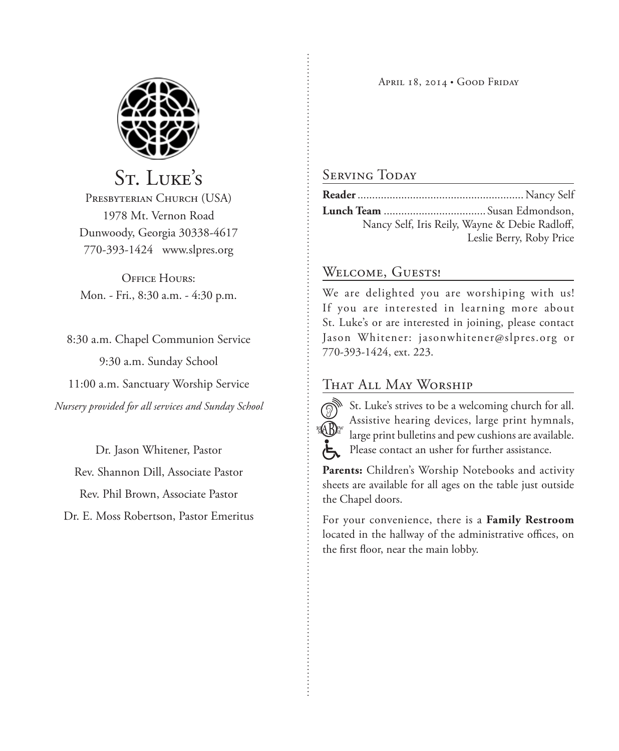April 18, 2014 • Good Friday



St. Luke's PRESBYTERIAN CHURCH (USA) 1978 Mt. Vernon Road Dunwoody, Georgia 30338-4617 770-393-1424 www.slpres.org

**OFFICE HOURS:** Mon. - Fri., 8:30 a.m. - 4:30 p.m.

8:30 a.m. Chapel Communion Service 9:30 a.m. Sunday School

11:00 a.m. Sanctuary Worship Service *Nursery provided for all services and Sunday School*

Dr. Jason Whitener, Pastor Rev. Shannon Dill, Associate Pastor Rev. Phil Brown, Associate Pastor Dr. E. Moss Robertson, Pastor Emeritus

## Serving Today

| Nancy Self, Iris Reily, Wayne & Debie Radloff, |
|------------------------------------------------|
| Leslie Berry, Roby Price                       |

## WELCOME, GUESTS!

We are delighted you are worshiping with us! If you are interested in learning more about St. Luke's or are interested in joining, please contact Jason Whitener: jasonwhitener@slpres.org or 770-393-1424, ext. 223.

## That All May Worship



St. Luke's strives to be a welcoming church for all. Assistive hearing devices, large print hymnals, large print bulletins and pew cushions are available. Please contact an usher for further assistance.

**Parents:** Children's Worship Notebooks and activity sheets are available for all ages on the table just outside the Chapel doors.

For your convenience, there is a **Family Restroom** located in the hallway of the administrative offices, on the first floor, near the main lobby.